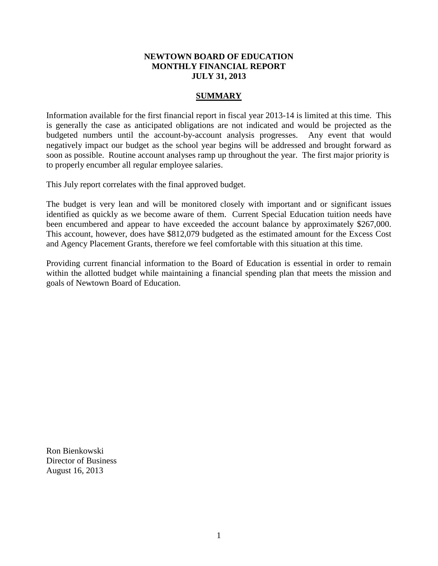#### **NEWTOWN BOARD OF EDUCATION MONTHLY FINANCIAL REPORT JULY 31, 2013**

#### **SUMMARY**

Information available for the first financial report in fiscal year 2013-14 is limited at this time. This is generally the case as anticipated obligations are not indicated and would be projected as the budgeted numbers until the account-by-account analysis progresses. Any event that would negatively impact our budget as the school year begins will be addressed and brought forward as soon as possible. Routine account analyses ramp up throughout the year. The first major priority is to properly encumber all regular employee salaries.

This July report correlates with the final approved budget.

The budget is very lean and will be monitored closely with important and or significant issues identified as quickly as we become aware of them. Current Special Education tuition needs have been encumbered and appear to have exceeded the account balance by approximately \$267,000. This account, however, does have \$812,079 budgeted as the estimated amount for the Excess Cost and Agency Placement Grants, therefore we feel comfortable with this situation at this time.

Providing current financial information to the Board of Education is essential in order to remain within the allotted budget while maintaining a financial spending plan that meets the mission and goals of Newtown Board of Education.

Ron Bienkowski Director of Business August 16, 2013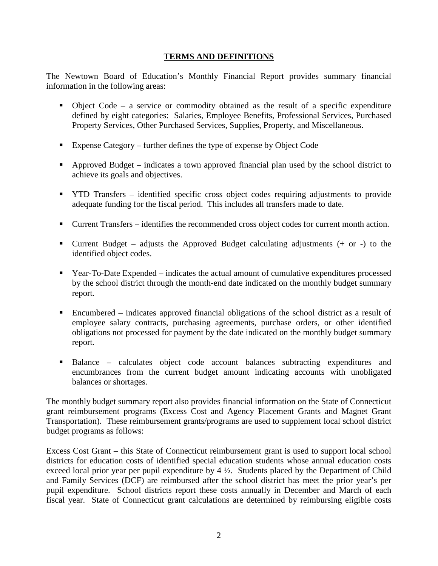#### **TERMS AND DEFINITIONS**

The Newtown Board of Education's Monthly Financial Report provides summary financial information in the following areas:

- $\bullet$  Object Code a service or commodity obtained as the result of a specific expenditure defined by eight categories: Salaries, Employee Benefits, Professional Services, Purchased Property Services, Other Purchased Services, Supplies, Property, and Miscellaneous.
- Expense Category further defines the type of expense by Object Code
- Approved Budget indicates a town approved financial plan used by the school district to achieve its goals and objectives.
- YTD Transfers identified specific cross object codes requiring adjustments to provide adequate funding for the fiscal period. This includes all transfers made to date.
- Current Transfers identifies the recommended cross object codes for current month action.
- **Current Budget** adjusts the Approved Budget calculating adjustments  $(+)$  or  $-)$  to the identified object codes.
- Year-To-Date Expended indicates the actual amount of cumulative expenditures processed by the school district through the month-end date indicated on the monthly budget summary report.
- Encumbered indicates approved financial obligations of the school district as a result of employee salary contracts, purchasing agreements, purchase orders, or other identified obligations not processed for payment by the date indicated on the monthly budget summary report.
- Balance calculates object code account balances subtracting expenditures and encumbrances from the current budget amount indicating accounts with unobligated balances or shortages.

The monthly budget summary report also provides financial information on the State of Connecticut grant reimbursement programs (Excess Cost and Agency Placement Grants and Magnet Grant Transportation). These reimbursement grants/programs are used to supplement local school district budget programs as follows:

Excess Cost Grant – this State of Connecticut reimbursement grant is used to support local school districts for education costs of identified special education students whose annual education costs exceed local prior year per pupil expenditure by 4 ½. Students placed by the Department of Child and Family Services (DCF) are reimbursed after the school district has meet the prior year's per pupil expenditure. School districts report these costs annually in December and March of each fiscal year. State of Connecticut grant calculations are determined by reimbursing eligible costs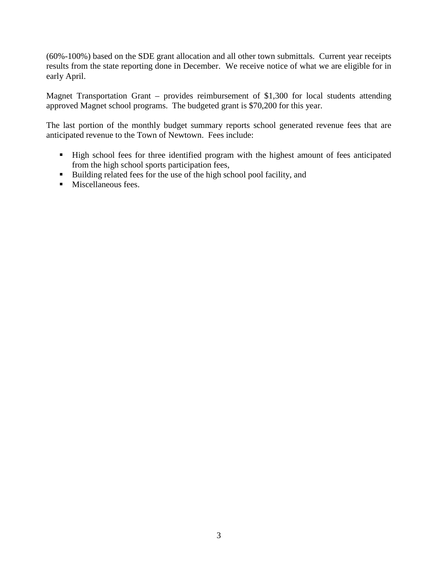(60%-100%) based on the SDE grant allocation and all other town submittals. Current year receipts results from the state reporting done in December. We receive notice of what we are eligible for in early April.

Magnet Transportation Grant – provides reimbursement of \$1,300 for local students attending approved Magnet school programs. The budgeted grant is \$70,200 for this year.

The last portion of the monthly budget summary reports school generated revenue fees that are anticipated revenue to the Town of Newtown. Fees include:

- High school fees for three identified program with the highest amount of fees anticipated from the high school sports participation fees,
- Building related fees for the use of the high school pool facility, and
- **Miscellaneous fees.**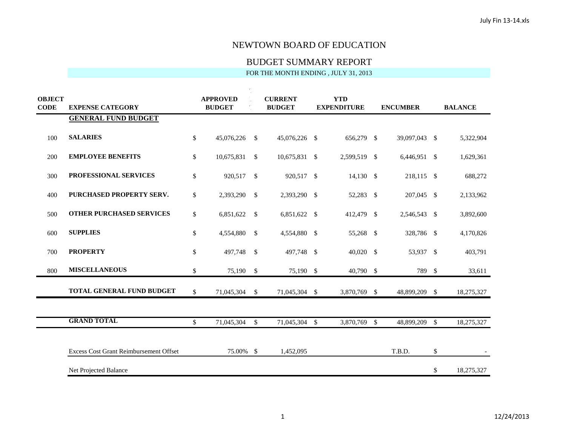#### BUDGET SUMMARY REPORT

| <b>OBJECT</b><br><b>CODE</b> | <b>EXPENSE CATEGORY</b>                       | <b>APPROVED</b><br><b>BUDGET</b> |            | <b>CURRENT</b><br><b>BUDGET</b> |               | <b>YTD</b><br><b>EXPENDITURE</b> |              | <b>ENCUMBER</b> |               | <b>BALANCE</b> |            |
|------------------------------|-----------------------------------------------|----------------------------------|------------|---------------------------------|---------------|----------------------------------|--------------|-----------------|---------------|----------------|------------|
|                              | <b>GENERAL FUND BUDGET</b>                    |                                  |            |                                 |               |                                  |              |                 |               |                |            |
| 100                          | <b>SALARIES</b>                               | \$                               | 45,076,226 | $\mathbb{S}$                    | 45,076,226 \$ |                                  | 656,279 \$   |                 | 39,097,043 \$ |                | 5,322,904  |
| 200                          | <b>EMPLOYEE BENEFITS</b>                      | \$                               | 10,675,831 | \$                              | 10,675,831 \$ |                                  | 2,599,519 \$ |                 | 6,446,951 \$  |                | 1,629,361  |
| 300                          | <b>PROFESSIONAL SERVICES</b>                  | \$                               | 920,517 \$ |                                 | 920,517 \$    |                                  | $14,130$ \$  |                 | 218,115 \$    |                | 688,272    |
| 400                          | PURCHASED PROPERTY SERV.                      | \$                               | 2,393,290  | \$                              | 2,393,290 \$  |                                  | 52,283 \$    |                 | 207,045 \$    |                | 2,133,962  |
| 500                          | <b>OTHER PURCHASED SERVICES</b>               | \$                               | 6,851,622  | \$                              | 6,851,622 \$  |                                  | 412,479 \$   |                 | 2,546,543 \$  |                | 3,892,600  |
| 600                          | <b>SUPPLIES</b>                               | \$                               | 4,554,880  | \$                              | 4,554,880 \$  |                                  | 55,268 \$    |                 | 328,786 \$    |                | 4,170,826  |
| 700                          | <b>PROPERTY</b>                               | \$                               | 497,748 \$ |                                 | 497,748 \$    |                                  | $40,020$ \$  |                 | 53,937 \$     |                | 403,791    |
| 800                          | <b>MISCELLANEOUS</b>                          | \$                               | 75,190 \$  |                                 | 75,190 \$     |                                  | 40,790 \$    |                 | 789 \$        |                | 33,611     |
|                              | TOTAL GENERAL FUND BUDGET                     | \$                               | 71,045,304 | \$                              | 71,045,304 \$ |                                  | 3,870,769 \$ |                 | 48,899,209 \$ |                | 18,275,327 |
|                              |                                               |                                  |            |                                 |               |                                  |              |                 |               |                |            |
|                              | <b>GRAND TOTAL</b>                            | \$                               | 71,045,304 | \$                              | 71,045,304 \$ |                                  | 3,870,769 \$ |                 | 48,899,209    | $\mathcal{S}$  | 18,275,327 |
|                              | <b>Excess Cost Grant Reimbursement Offset</b> |                                  | 75.00% \$  |                                 | 1,452,095     |                                  |              |                 | T.B.D.        | \$             |            |
|                              | Net Projected Balance                         |                                  |            |                                 |               |                                  |              |                 |               | \$             | 18,275,327 |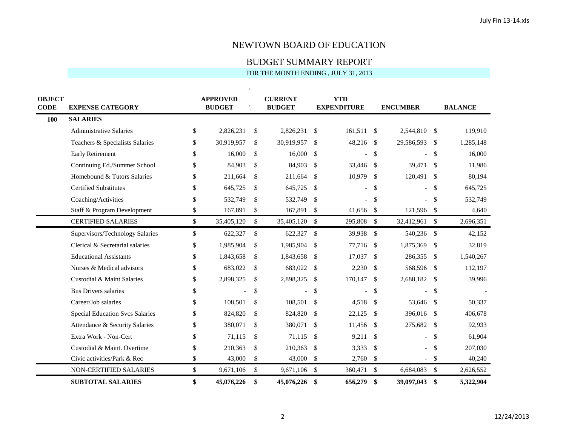# BUDGET SUMMARY REPORT

| <b>OBJECT</b> |                                        | <b>APPROVED</b>  |               | <b>CURRENT</b> |               | <b>YTD</b>         |                           |                 |               |                |
|---------------|----------------------------------------|------------------|---------------|----------------|---------------|--------------------|---------------------------|-----------------|---------------|----------------|
| <b>CODE</b>   | <b>EXPENSE CATEGORY</b>                | <b>BUDGET</b>    |               | <b>BUDGET</b>  |               | <b>EXPENDITURE</b> |                           | <b>ENCUMBER</b> |               | <b>BALANCE</b> |
| 100           | <b>SALARIES</b>                        |                  |               |                |               |                    |                           |                 |               |                |
|               | <b>Administrative Salaries</b>         | \$<br>2,826,231  | \$            | 2,826,231      | \$            | 161,511 \$         |                           | 2,544,810 \$    |               | 119,910        |
|               | Teachers & Specialists Salaries        | \$<br>30,919,957 | \$            | 30,919,957     | <sup>\$</sup> | 48,216 \$          |                           | 29,586,593      | - \$          | 1,285,148      |
|               | <b>Early Retirement</b>                | \$<br>16,000     | \$            | 16,000         | \$            |                    | \$                        |                 | <sup>\$</sup> | 16,000         |
|               | Continuing Ed./Summer School           | \$<br>84,903     | \$            | 84,903         | $\mathbb{S}$  | 33,446 \$          |                           | 39,471          | - \$          | 11,986         |
|               | Homebound & Tutors Salaries            | \$<br>211,664    | \$            | 211,664        | \$            | 10,979             | -\$                       | 120,491         | -\$           | 80,194         |
|               | <b>Certified Substitutes</b>           | \$<br>645,725    | \$            | 645,725        | \$            |                    | $\mathcal{S}$             |                 | \$            | 645,725        |
|               | Coaching/Activities                    | \$<br>532,749    | $\mathcal{S}$ | 532,749        | $\mathbb{S}$  |                    | $\mathcal{S}$             |                 | -\$           | 532,749        |
|               | Staff & Program Development            | \$<br>167,891    | \$            | 167,891        | \$            | 41,656             | $\mathcal{S}$             | 121,596         | $\sqrt{3}$    | 4,640          |
|               | <b>CERTIFIED SALARIES</b>              | \$<br>35,405,120 | \$            | 35,405,120     | \$            | 295,808            | $\mathcal{S}$             | 32,412,961      | $\mathcal{S}$ | 2,696,351      |
|               | Supervisors/Technology Salaries        | \$<br>622,327    | \$            | 622,327        | $\mathbb{S}$  | 39,938             | $\mathcal{S}$             | 540,236         | - \$          | 42,152         |
|               | Clerical & Secretarial salaries        | \$<br>1,985,904  | \$            | 1,985,904      | \$            | 77,716             | $\mathcal{S}$             | 1,875,369       | $\sqrt{3}$    | 32,819         |
|               | <b>Educational Assistants</b>          | \$<br>1,843,658  | \$            | 1,843,658      | \$            | 17,037             | -\$                       | 286,355         | - \$          | 1,540,267      |
|               | Nurses & Medical advisors              | \$<br>683,022    | \$            | 683,022        | \$            | 2,230              | -\$                       | 568,596         | - \$          | 112,197        |
|               | Custodial & Maint Salaries             | \$<br>2,898,325  | \$            | 2,898,325      | $\frac{1}{2}$ | 170,147            | \$                        | 2,688,182       | - \$          | 39,996         |
|               | <b>Bus Drivers salaries</b>            | \$               | \$            |                | \$            |                    | \$                        |                 | \$            |                |
|               | Career/Job salaries                    | \$<br>108,501    | \$            | 108,501        | \$            | $4,518$ \$         |                           | 53,646 \$       |               | 50,337         |
|               | <b>Special Education Svcs Salaries</b> | \$<br>824,820    | \$            | 824,820        | \$            | 22,125             | -S                        | 396,016         | - \$          | 406,678        |
|               | Attendance & Security Salaries         | \$<br>380,071    | \$            | 380,071        | \$            | 11,456             | - \$                      | 275,682         | - \$          | 92,933         |
|               | Extra Work - Non-Cert                  | \$<br>71,115     | \$            | 71,115         | \$            | 9,211              | -\$                       |                 | \$            | 61,904         |
|               | Custodial & Maint. Overtime            | \$<br>210,363    | \$            | 210,363        | \$            | 3,333              | $\mathbb{S}$              |                 | \$            | 207,030        |
|               | Civic activities/Park & Rec            | \$<br>43,000     | \$            | 43,000         | \$            | 2,760              | -\$                       |                 | $\mathcal{S}$ | 40,240         |
|               | NON-CERTIFIED SALARIES                 | \$<br>9,671,106  | $\mathbb{S}$  | 9,671,106      | $\mathbb{S}$  | 360,471            | $\mathcal{S}$             | 6,684,083       | $\mathcal{S}$ | 2,626,552      |
|               | <b>SUBTOTAL SALARIES</b>               | \$<br>45,076,226 | \$            | 45,076,226 \$  |               | 656,279            | $\boldsymbol{\mathsf{s}}$ | 39,097,043      | \$            | 5,322,904      |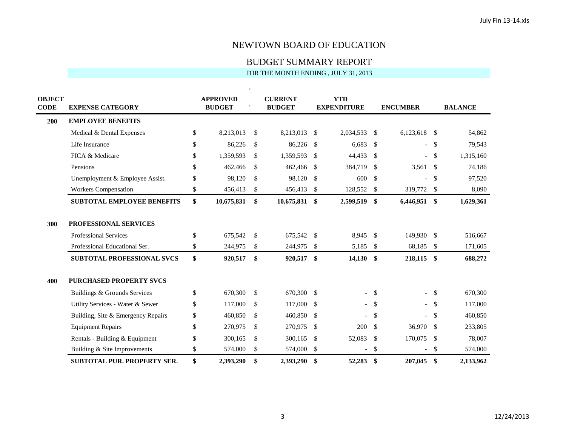BUDGET SUMMARY REPORT

| <b>OBJECT</b><br><b>CODE</b> | <b>EXPENSE CATEGORY</b>            | <b>APPROVED</b><br><b>BUDGET</b> |            |               | <b>CURRENT</b><br><b>BUDGET</b> |                         | <b>YTD</b><br><b>EXPENDITURE</b> |               | <b>ENCUMBER</b> | <b>BALANCE</b> |           |  |
|------------------------------|------------------------------------|----------------------------------|------------|---------------|---------------------------------|-------------------------|----------------------------------|---------------|-----------------|----------------|-----------|--|
| 200                          | <b>EMPLOYEE BENEFITS</b>           |                                  |            |               |                                 |                         |                                  |               |                 |                |           |  |
|                              | Medical & Dental Expenses          | \$                               | 8,213,013  | \$            | 8,213,013                       | \$                      | 2,034,533                        | $\mathbb{S}$  | 6,123,618 \$    |                | 54,862    |  |
|                              | Life Insurance                     | \$                               | 86.226     | \$            | 86,226                          | - \$                    | 6,683                            | $\mathbb{S}$  |                 | -\$            | 79,543    |  |
|                              | FICA & Medicare                    | \$                               | 1,359,593  | \$            | 1,359,593                       | -\$                     | 44,433                           | -\$           |                 | \$             | 1,315,160 |  |
|                              | Pensions                           | \$                               | 462,466    | $\mathbb{S}$  | 462,466 \$                      |                         | 384,719                          | -\$           | 3,561           | -\$            | 74,186    |  |
|                              | Unemployment & Employee Assist.    | \$                               | 98,120     | \$            | 98,120                          | \$                      | 600                              | $\mathcal{S}$ |                 | \$             | 97,520    |  |
|                              | <b>Workers Compensation</b>        | \$                               | 456,413    | \$            | 456,413                         | $\mathcal{S}$           | 128,552                          | $\mathcal{S}$ | 319,772         | -\$            | 8,090     |  |
|                              | <b>SUBTOTAL EMPLOYEE BENEFITS</b>  | \$                               | 10,675,831 | \$            | 10,675,831 \$                   |                         | 2,599,519                        | - \$          | 6,446,951 \$    |                | 1,629,361 |  |
| 300                          | PROFESSIONAL SERVICES              |                                  |            |               |                                 |                         |                                  |               |                 |                |           |  |
|                              | <b>Professional Services</b>       | \$                               | 675,542    | $\mathcal{S}$ | 675,542 \$                      |                         | 8,945                            | $\mathcal{S}$ | 149,930         | - \$           | 516,667   |  |
|                              | Professional Educational Ser.      | \$                               | 244,975    | \$            | 244,975                         | - \$                    | 5,185                            | $\mathbb{S}$  | 68,185          | -\$            | 171,605   |  |
|                              | <b>SUBTOTAL PROFESSIONAL SVCS</b>  | \$                               | 920,517    | \$            | 920,517 \$                      |                         | 14,130                           | - \$          | 218,115 \$      |                | 688,272   |  |
| 400                          | <b>PURCHASED PROPERTY SVCS</b>     |                                  |            |               |                                 |                         |                                  |               |                 |                |           |  |
|                              | Buildings & Grounds Services       | \$                               | 670,300    | \$            | 670,300 \$                      |                         | $\overline{\phantom{a}}$         | $\mathbb{S}$  |                 | \$             | 670,300   |  |
|                              | Utility Services - Water & Sewer   | \$                               | 117,000    | \$            | 117,000                         | - \$                    |                                  | <sup>\$</sup> |                 | -\$            | 117,000   |  |
|                              | Building, Site & Emergency Repairs | \$                               | 460,850    | \$            | 460,850                         | -\$                     |                                  | \$            |                 | \$             | 460,850   |  |
|                              | <b>Equipment Repairs</b>           | \$                               | 270,975    | $\mathcal{S}$ | 270,975                         | - \$                    | 200                              | $\mathcal{S}$ | 36,970          | - \$           | 233,805   |  |
|                              | Rentals - Building & Equipment     | \$                               | 300,165    | \$            | 300,165                         | -\$                     | 52,083                           | $\mathcal{S}$ | 170,075         | -\$            | 78,007    |  |
|                              | Building & Site Improvements       | \$                               | 574,000    | \$            | 574,000                         | $\sqrt[6]{\frac{1}{2}}$ | $\overline{a}$                   | \$            |                 | \$             | 574,000   |  |
|                              | <b>SUBTOTAL PUR. PROPERTY SER.</b> | \$                               | 2,393,290  | \$            | 2,393,290                       | -\$                     | 52,283                           | \$            | 207,045         | -\$            | 2,133,962 |  |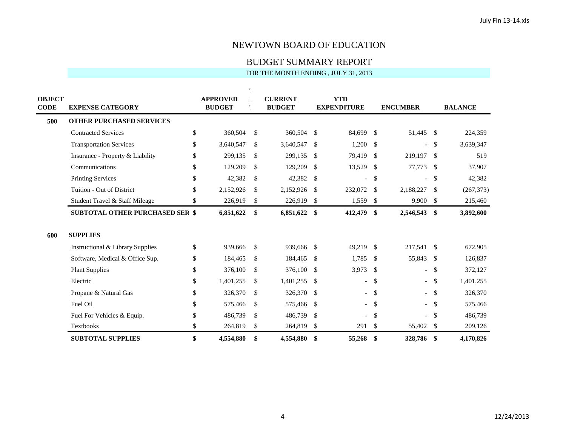BUDGET SUMMARY REPORT

| <b>OBJECT</b><br>CODE | <b>EXPENSE CATEGORY</b>                | <b>APPROVED</b><br><b>BUDGET</b> |               | <b>CURRENT</b><br><b>BUDGET</b> |      | <b>YTD</b><br><b>EXPENDITURE</b> |               | <b>ENCUMBER</b>          |      | <b>BALANCE</b> |
|-----------------------|----------------------------------------|----------------------------------|---------------|---------------------------------|------|----------------------------------|---------------|--------------------------|------|----------------|
| 500                   | <b>OTHER PURCHASED SERVICES</b>        |                                  |               |                                 |      |                                  |               |                          |      |                |
|                       | <b>Contracted Services</b>             | \$<br>360,504                    | $\mathbb{S}$  | 360,504 \$                      |      | 84,699                           | - \$          | 51,445 \$                |      | 224,359        |
|                       | <b>Transportation Services</b>         | \$<br>3,640,547                  | $\mathbb{S}$  | 3,640,547                       | -\$  | 1,200                            | \$            | $\overline{\phantom{0}}$ | -\$  | 3,639,347      |
|                       | Insurance - Property & Liability       | \$<br>299,135                    | $\mathbb{S}$  | 299,135                         | - \$ | 79,419                           | - \$          | 219,197                  | -\$  | 519            |
|                       | Communications                         | \$<br>129,209                    | \$            | 129,209                         | -\$  | 13,529                           | -\$           | 77,773                   | -\$  | 37,907         |
|                       | <b>Printing Services</b>               | \$<br>42,382                     | $\mathbb{S}$  | 42,382                          | -\$  | $\overline{a}$                   | $\mathcal{S}$ | $\overline{\phantom{0}}$ | -S   | 42,382         |
|                       | Tuition - Out of District              | \$<br>2,152,926                  | $\mathbb{S}$  | 2,152,926                       | \$   | 232,072                          | -\$           | 2,188,227                | -\$  | (267, 373)     |
|                       | Student Travel & Staff Mileage         | \$<br>226,919                    | \$            | 226,919                         | \$   | 1,559                            | \$            | 9,900                    | -\$  | 215,460        |
|                       | <b>SUBTOTAL OTHER PURCHASED SER \$</b> | 6,851,622                        | \$            | 6,851,622 \$                    |      | 412,479 \$                       |               | 2,546,543                | -\$  | 3,892,600      |
| 600                   | <b>SUPPLIES</b>                        |                                  |               |                                 |      |                                  |               |                          |      |                |
|                       | Instructional & Library Supplies       | \$<br>939,666                    | $\mathcal{S}$ | 939,666 \$                      |      | 49,219 \$                        |               | 217,541                  | - \$ | 672,905        |
|                       | Software, Medical & Office Sup.        | \$<br>184,465                    | $\mathcal{S}$ | 184,465                         | - \$ | 1,785                            | -\$           | 55,843                   | -\$  | 126,837        |
|                       | <b>Plant Supplies</b>                  | \$<br>376,100                    | $\mathbb{S}$  | 376,100                         | -\$  | 3,973                            | -\$           | $\overline{\phantom{0}}$ | -S   | 372,127        |
|                       | Electric                               | \$<br>1,401,255                  | $\mathbb{S}$  | 1,401,255                       | -\$  | $\overline{\phantom{0}}$         | $\mathcal{S}$ |                          | -S   | 1,401,255      |
|                       | Propane & Natural Gas                  | \$<br>326,370                    | \$            | 326,370                         | - \$ |                                  | $\mathcal{S}$ |                          | -S   | 326,370        |
|                       | Fuel Oil                               | \$<br>575,466                    | \$            | 575,466                         | - \$ | $\overline{\phantom{0}}$         | - \$          |                          | -S   | 575,466        |
|                       | Fuel For Vehicles & Equip.             | \$<br>486,739                    | $\mathbb{S}$  | 486,739                         | -\$  |                                  | <sup>\$</sup> |                          | -S   | 486,739        |
|                       | <b>Textbooks</b>                       | \$<br>264,819                    | \$            | 264,819                         | \$   | 291                              | \$            | 55,402                   | -\$  | 209,126        |
|                       | <b>SUBTOTAL SUPPLIES</b>               | \$<br>4,554,880                  | \$            | 4,554,880                       | -\$  | 55,268                           | $\mathbf{\$}$ | 328,786                  | -\$  | 4,170,826      |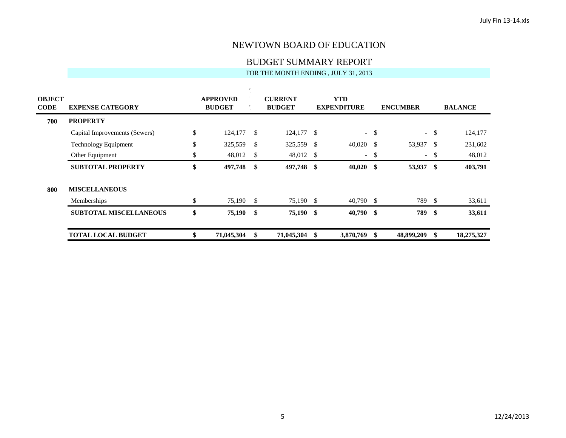BUDGET SUMMARY REPORT

| <b>OBJECT</b><br><b>CODE</b> | <b>EXPENSE CATEGORY</b>       | <b>APPROVED</b><br><b>BUDGET</b> |               | <b>CURRENT</b><br><b>BUDGET</b> |   | <b>YTD</b><br><b>EXPENDITURE</b> |        | <b>ENCUMBER</b>          |      | <b>BALANCE</b> |
|------------------------------|-------------------------------|----------------------------------|---------------|---------------------------------|---|----------------------------------|--------|--------------------------|------|----------------|
| 700                          | <b>PROPERTY</b>               |                                  |               |                                 |   |                                  |        |                          |      |                |
|                              | Capital Improvements (Sewers) | \$<br>124,177                    | $\mathcal{S}$ | 124,177 \$                      |   |                                  | $-$ \$ | $\overline{\phantom{0}}$ | \$   | 124,177        |
|                              | <b>Technology Equipment</b>   | \$<br>325,559                    | -S            | 325,559 \$                      |   | $40,020$ \$                      |        | 53,937 \$                |      | 231,602        |
|                              | Other Equipment               | \$<br>48,012                     | <sup>\$</sup> | 48,012 \$                       |   | $\sim$                           | -\$    | $ \,$                    | \$   | 48,012         |
|                              | <b>SUBTOTAL PROPERTY</b>      | \$<br>497,748                    | -\$           | 497,748 \$                      |   | $40,020$ \$                      |        | 53,937 \$                |      | 403,791        |
| 800                          | <b>MISCELLANEOUS</b>          |                                  |               |                                 |   |                                  |        |                          |      |                |
|                              | Memberships                   | \$<br>75,190                     | <sup>\$</sup> | 75,190 \$                       |   | $40,790$ \$                      |        | 789                      | - \$ | 33,611         |
|                              | <b>SUBTOTAL MISCELLANEOUS</b> | \$<br>75,190                     | -\$           | 75,190 \$                       |   | $40,790$ \$                      |        | 789                      | - \$ | 33,611         |
|                              | <b>TOTAL LOCAL BUDGET</b>     | \$<br>71,045,304                 | \$            | 71,045,304                      | S | 3,870,769 \$                     |        | 48,899,209               | - \$ | 18,275,327     |